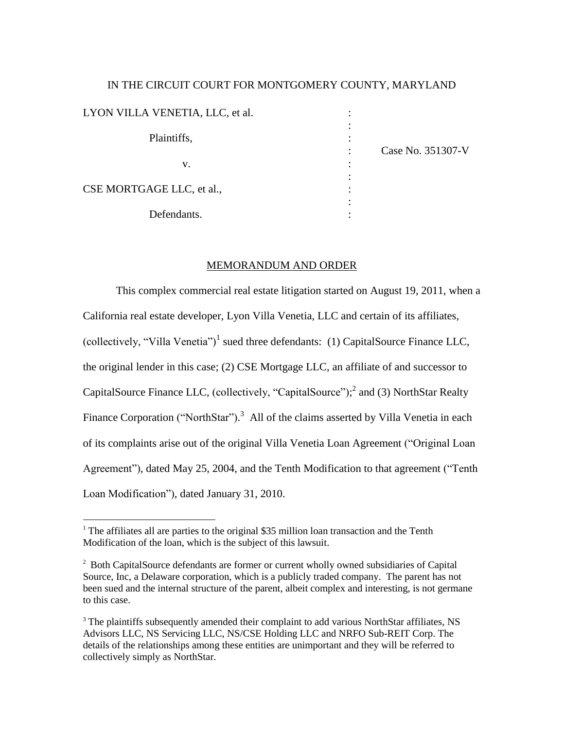# IN THE CIRCUIT COURT FOR MONTGOMERY COUNTY, MARYLAND LYON VILLA VENETIA, LLC, et al. : : Plaintiffs.  $\qquad \qquad \vdots$ : Case No. 351307-V  $\mathbf{v}$ .  $\vdots$ : CSE MORTGAGE LLC, et al.,  $\cdot$ : Defendants.  $\qquad \qquad$  :

# MEMORANDUM AND ORDER

This complex commercial real estate litigation started on August 19, 2011, when a California real estate developer, Lyon Villa Venetia, LLC and certain of its affiliates, (collectively, "Villa Venetia")<sup>1</sup> sued three defendants: (1) CapitalSource Finance LLC, the original lender in this case; (2) CSE Mortgage LLC, an affiliate of and successor to CapitalSource Finance LLC, (collectively, "CapitalSource");<sup>2</sup> and (3) NorthStar Realty Finance Corporation ("NorthStar").<sup>3</sup> All of the claims asserted by Villa Venetia in each of its complaints arise out of the original Villa Venetia Loan Agreement ("Original Loan Agreement"), dated May 25, 2004, and the Tenth Modification to that agreement ("Tenth Loan Modification"), dated January 31, 2010.

 $1$ <sup>1</sup> The affiliates all are parties to the original \$35 million loan transaction and the Tenth Modification of the loan, which is the subject of this lawsuit.

<sup>&</sup>lt;sup>2</sup> Both CapitalSource defendants are former or current wholly owned subsidiaries of Capital Source, Inc, a Delaware corporation, which is a publicly traded company. The parent has not been sued and the internal structure of the parent, albeit complex and interesting, is not germane to this case.

<sup>&</sup>lt;sup>3</sup> The plaintiffs subsequently amended their complaint to add various NorthStar affiliates, NS Advisors LLC, NS Servicing LLC, NS/CSE Holding LLC and NRFO Sub-REIT Corp. The details of the relationships among these entities are unimportant and they will be referred to collectively simply as NorthStar.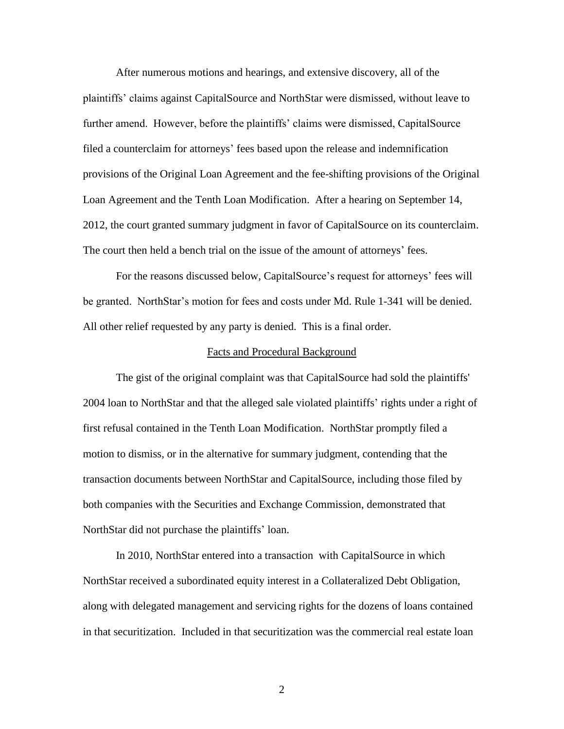After numerous motions and hearings, and extensive discovery, all of the plaintiffs" claims against CapitalSource and NorthStar were dismissed, without leave to further amend. However, before the plaintiffs' claims were dismissed, CapitalSource filed a counterclaim for attorneys" fees based upon the release and indemnification provisions of the Original Loan Agreement and the fee-shifting provisions of the Original Loan Agreement and the Tenth Loan Modification. After a hearing on September 14, 2012, the court granted summary judgment in favor of CapitalSource on its counterclaim. The court then held a bench trial on the issue of the amount of attorneys' fees.

For the reasons discussed below, CapitalSource's request for attorneys' fees will be granted. NorthStar"s motion for fees and costs under Md. Rule 1-341 will be denied. All other relief requested by any party is denied. This is a final order.

#### Facts and Procedural Background

The gist of the original complaint was that CapitalSource had sold the plaintiffs' 2004 loan to NorthStar and that the alleged sale violated plaintiffs" rights under a right of first refusal contained in the Tenth Loan Modification. NorthStar promptly filed a motion to dismiss, or in the alternative for summary judgment, contending that the transaction documents between NorthStar and CapitalSource, including those filed by both companies with the Securities and Exchange Commission, demonstrated that NorthStar did not purchase the plaintiffs' loan.

In 2010, NorthStar entered into a transaction with CapitalSource in which NorthStar received a subordinated equity interest in a Collateralized Debt Obligation, along with delegated management and servicing rights for the dozens of loans contained in that securitization. Included in that securitization was the commercial real estate loan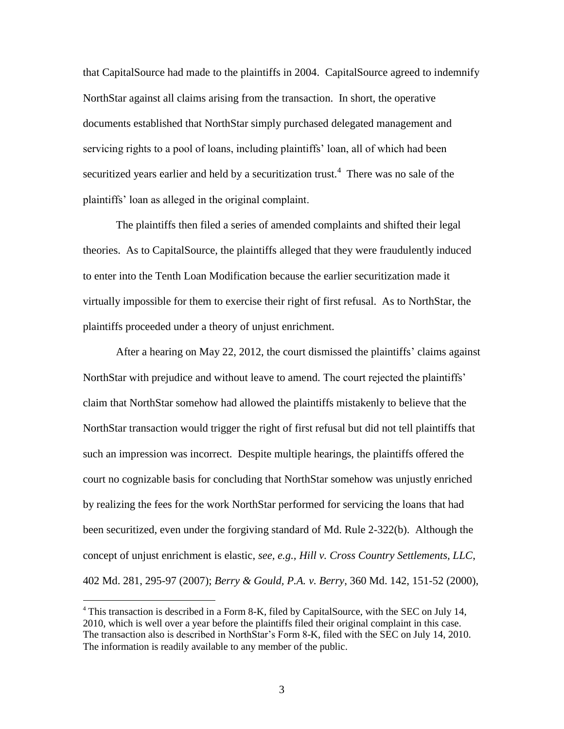that CapitalSource had made to the plaintiffs in 2004. CapitalSource agreed to indemnify NorthStar against all claims arising from the transaction. In short, the operative documents established that NorthStar simply purchased delegated management and servicing rights to a pool of loans, including plaintiffs" loan, all of which had been securitized years earlier and held by a securitization trust.<sup>4</sup> There was no sale of the plaintiffs" loan as alleged in the original complaint.

The plaintiffs then filed a series of amended complaints and shifted their legal theories. As to CapitalSource, the plaintiffs alleged that they were fraudulently induced to enter into the Tenth Loan Modification because the earlier securitization made it virtually impossible for them to exercise their right of first refusal. As to NorthStar, the plaintiffs proceeded under a theory of unjust enrichment.

After a hearing on May 22, 2012, the court dismissed the plaintiffs' claims against NorthStar with prejudice and without leave to amend. The court rejected the plaintiffs' claim that NorthStar somehow had allowed the plaintiffs mistakenly to believe that the NorthStar transaction would trigger the right of first refusal but did not tell plaintiffs that such an impression was incorrect. Despite multiple hearings, the plaintiffs offered the court no cognizable basis for concluding that NorthStar somehow was unjustly enriched by realizing the fees for the work NorthStar performed for servicing the loans that had been securitized, even under the forgiving standard of Md. Rule 2-322(b). Although the concept of unjust enrichment is elastic, *see, e.g., Hill v. Cross Country Settlements, LLC*, 402 Md. 281, 295-97 (2007); *Berry & Gould, P.A. v. Berry*, 360 Md. 142, 151-52 (2000),

<sup>4</sup> This transaction is described in a Form 8-K, filed by CapitalSource, with the SEC on July 14, 2010, which is well over a year before the plaintiffs filed their original complaint in this case. The transaction also is described in NorthStar's Form 8-K, filed with the SEC on July 14, 2010. The information is readily available to any member of the public.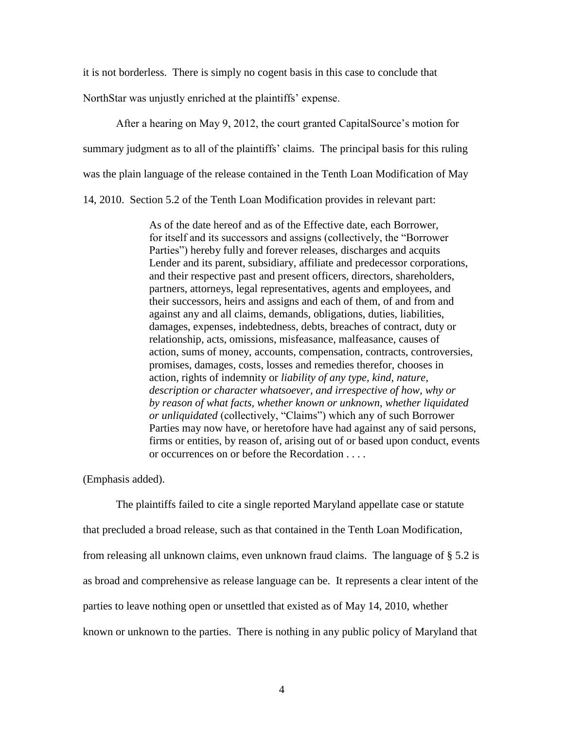it is not borderless. There is simply no cogent basis in this case to conclude that

NorthStar was unjustly enriched at the plaintiffs' expense.

After a hearing on May 9, 2012, the court granted CapitalSource's motion for summary judgment as to all of the plaintiffs' claims. The principal basis for this ruling was the plain language of the release contained in the Tenth Loan Modification of May 14, 2010. Section 5.2 of the Tenth Loan Modification provides in relevant part:

> As of the date hereof and as of the Effective date, each Borrower, for itself and its successors and assigns (collectively, the "Borrower Parties") hereby fully and forever releases, discharges and acquits Lender and its parent, subsidiary, affiliate and predecessor corporations, and their respective past and present officers, directors, shareholders, partners, attorneys, legal representatives, agents and employees, and their successors, heirs and assigns and each of them, of and from and against any and all claims, demands, obligations, duties, liabilities, damages, expenses, indebtedness, debts, breaches of contract, duty or relationship, acts, omissions, misfeasance, malfeasance, causes of action, sums of money, accounts, compensation, contracts, controversies, promises, damages, costs, losses and remedies therefor, chooses in action, rights of indemnity or *liability of any type, kind, nature, description or character whatsoever, and irrespective of how, why or by reason of what facts, whether known or unknown, whether liquidated or unliquidated* (collectively, "Claims") which any of such Borrower Parties may now have, or heretofore have had against any of said persons, firms or entities, by reason of, arising out of or based upon conduct, events or occurrences on or before the Recordation . . . .

(Emphasis added).

The plaintiffs failed to cite a single reported Maryland appellate case or statute that precluded a broad release, such as that contained in the Tenth Loan Modification, from releasing all unknown claims, even unknown fraud claims. The language of § 5.2 is as broad and comprehensive as release language can be. It represents a clear intent of the parties to leave nothing open or unsettled that existed as of May 14, 2010, whether known or unknown to the parties. There is nothing in any public policy of Maryland that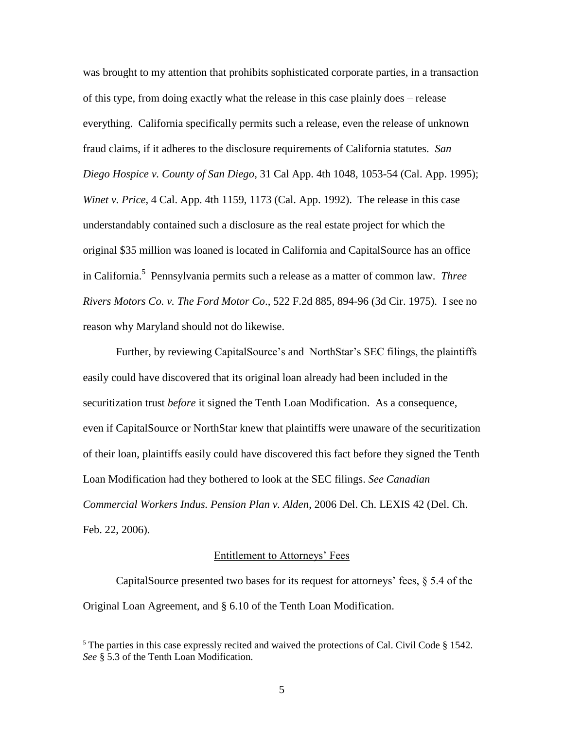was brought to my attention that prohibits sophisticated corporate parties, in a transaction of this type, from doing exactly what the release in this case plainly does – release everything. California specifically permits such a release, even the release of unknown fraud claims, if it adheres to the disclosure requirements of California statutes. *San Diego Hospice v. County of San Diego*, 31 Cal App. 4th 1048, 1053-54 (Cal. App. 1995); *Winet v. Price*, 4 Cal. App. 4th 1159, 1173 (Cal. App. 1992). The release in this case understandably contained such a disclosure as the real estate project for which the original \$35 million was loaned is located in California and CapitalSource has an office in California. 5 Pennsylvania permits such a release as a matter of common law. *Three Rivers Motors Co. v. The Ford Motor Co*., 522 F.2d 885, 894-96 (3d Cir. 1975). I see no reason why Maryland should not do likewise.

Further, by reviewing CapitalSource's and NorthStar's SEC filings, the plaintiffs easily could have discovered that its original loan already had been included in the securitization trust *before* it signed the Tenth Loan Modification. As a consequence, even if CapitalSource or NorthStar knew that plaintiffs were unaware of the securitization of their loan, plaintiffs easily could have discovered this fact before they signed the Tenth Loan Modification had they bothered to look at the SEC filings. *See Canadian Commercial Workers Indus. Pension Plan v. Alden*, 2006 Del. Ch. LEXIS 42 (Del. Ch. Feb. 22, 2006).

### Entitlement to Attorneys' Fees

CapitalSource presented two bases for its request for attorneys' fees,  $\S 5.4$  of the Original Loan Agreement, and § 6.10 of the Tenth Loan Modification.

 $5$  The parties in this case expressly recited and waived the protections of Cal. Civil Code  $\S$  1542. *See* § 5.3 of the Tenth Loan Modification.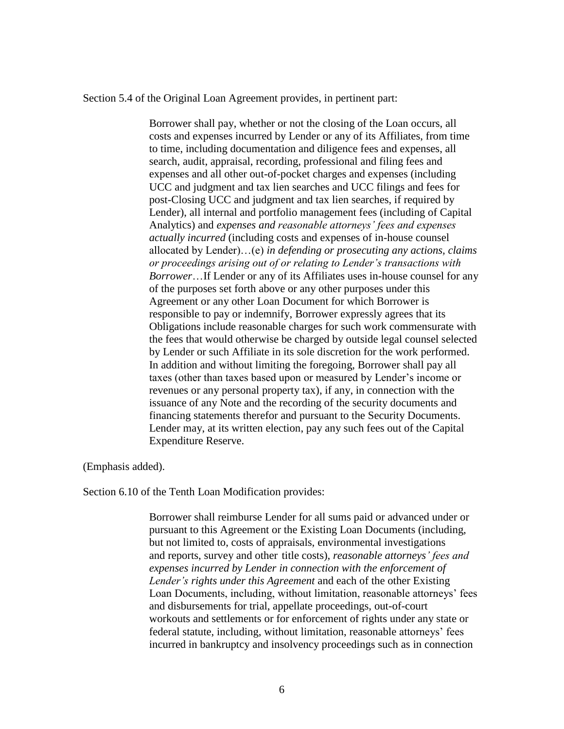Section 5.4 of the Original Loan Agreement provides, in pertinent part:

Borrower shall pay, whether or not the closing of the Loan occurs, all costs and expenses incurred by Lender or any of its Affiliates, from time to time, including documentation and diligence fees and expenses, all search, audit, appraisal, recording, professional and filing fees and expenses and all other out-of-pocket charges and expenses (including UCC and judgment and tax lien searches and UCC filings and fees for post-Closing UCC and judgment and tax lien searches, if required by Lender), all internal and portfolio management fees (including of Capital Analytics) and *expenses and reasonable attorneys' fees and expenses actually incurred* (including costs and expenses of in-house counsel allocated by Lender)…(e) *in defending or prosecuting any actions, claims or proceedings arising out of or relating to Lender's transactions with Borrower*…If Lender or any of its Affiliates uses in-house counsel for any of the purposes set forth above or any other purposes under this Agreement or any other Loan Document for which Borrower is responsible to pay or indemnify, Borrower expressly agrees that its Obligations include reasonable charges for such work commensurate with the fees that would otherwise be charged by outside legal counsel selected by Lender or such Affiliate in its sole discretion for the work performed. In addition and without limiting the foregoing, Borrower shall pay all taxes (other than taxes based upon or measured by Lender"s income or revenues or any personal property tax), if any, in connection with the issuance of any Note and the recording of the security documents and financing statements therefor and pursuant to the Security Documents. Lender may, at its written election, pay any such fees out of the Capital Expenditure Reserve.

(Emphasis added).

Section 6.10 of the Tenth Loan Modification provides:

Borrower shall reimburse Lender for all sums paid or advanced under or pursuant to this Agreement or the Existing Loan Documents (including, but not limited to, costs of appraisals, environmental investigations and reports, survey and other title costs), *reasonable attorneys' fees and expenses incurred by Lender in connection with the enforcement of Lender's rights under this Agreement* and each of the other Existing Loan Documents, including, without limitation, reasonable attorneys' fees and disbursements for trial, appellate proceedings, out-of-court workouts and settlements or for enforcement of rights under any state or federal statute, including, without limitation, reasonable attorneys' fees incurred in bankruptcy and insolvency proceedings such as in connection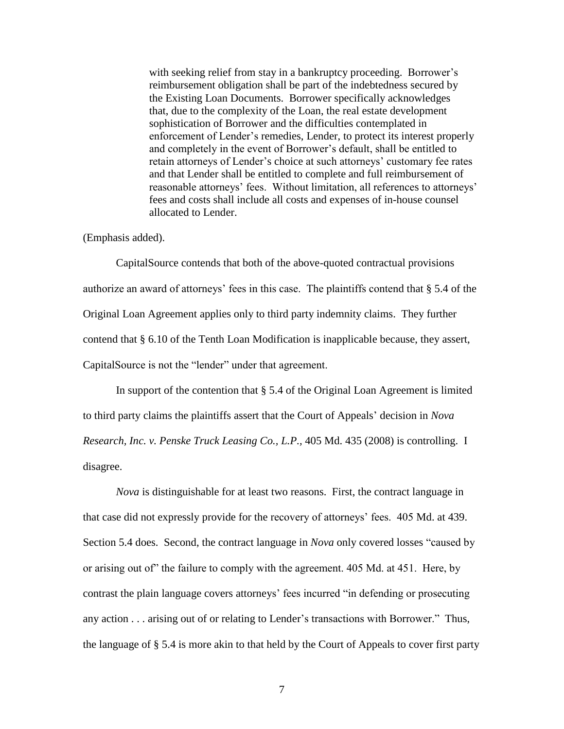with seeking relief from stay in a bankruptcy proceeding. Borrower's reimbursement obligation shall be part of the indebtedness secured by the Existing Loan Documents. Borrower specifically acknowledges that, due to the complexity of the Loan, the real estate development sophistication of Borrower and the difficulties contemplated in enforcement of Lender"s remedies, Lender, to protect its interest properly and completely in the event of Borrower's default, shall be entitled to retain attorneys of Lender"s choice at such attorneys" customary fee rates and that Lender shall be entitled to complete and full reimbursement of reasonable attorneys' fees. Without limitation, all references to attorneys' fees and costs shall include all costs and expenses of in-house counsel allocated to Lender.

#### (Emphasis added).

CapitalSource contends that both of the above-quoted contractual provisions authorize an award of attorneys' fees in this case. The plaintiffs contend that § 5.4 of the Original Loan Agreement applies only to third party indemnity claims. They further contend that § 6.10 of the Tenth Loan Modification is inapplicable because, they assert, CapitalSource is not the "lender" under that agreement.

In support of the contention that § 5.4 of the Original Loan Agreement is limited to third party claims the plaintiffs assert that the Court of Appeals" decision in *Nova Research, Inc. v. Penske Truck Leasing Co., L.P.,* 405 Md. 435 (2008) is controlling. I disagree.

*Nova* is distinguishable for at least two reasons. First, the contract language in that case did not expressly provide for the recovery of attorneys" fees. 405 Md. at 439. Section 5.4 does. Second, the contract language in *Nova* only covered losses "caused by or arising out of" the failure to comply with the agreement. 405 Md. at 451. Here, by contrast the plain language covers attorneys' fees incurred "in defending or prosecuting any action . . . arising out of or relating to Lender"s transactions with Borrower." Thus, the language of § 5.4 is more akin to that held by the Court of Appeals to cover first party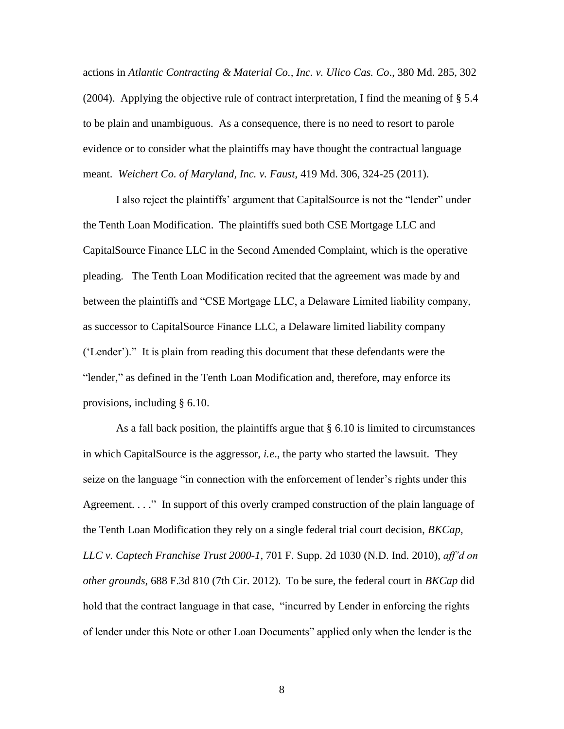actions in *Atlantic Contracting & Material Co., Inc. v. Ulico Cas. Co*., 380 Md. 285, 302 (2004). Applying the objective rule of contract interpretation, I find the meaning of § 5.4 to be plain and unambiguous. As a consequence, there is no need to resort to parole evidence or to consider what the plaintiffs may have thought the contractual language meant. *Weichert Co. of Maryland, Inc. v. Faust*, 419 Md. 306, 324-25 (2011).

I also reject the plaintiffs" argument that CapitalSource is not the "lender" under the Tenth Loan Modification. The plaintiffs sued both CSE Mortgage LLC and CapitalSource Finance LLC in the Second Amended Complaint, which is the operative pleading. The Tenth Loan Modification recited that the agreement was made by and between the plaintiffs and "CSE Mortgage LLC, a Delaware Limited liability company, as successor to CapitalSource Finance LLC, a Delaware limited liability company ("Lender")." It is plain from reading this document that these defendants were the "lender," as defined in the Tenth Loan Modification and, therefore, may enforce its provisions, including § 6.10.

As a fall back position, the plaintiffs argue that § 6.10 is limited to circumstances in which CapitalSource is the aggressor, *i.e*., the party who started the lawsuit. They seize on the language "in connection with the enforcement of lender"s rights under this Agreement. . . ." In support of this overly cramped construction of the plain language of the Tenth Loan Modification they rely on a single federal trial court decision, *BKCap, LLC v. Captech Franchise Trust 2000-1*, 701 F. Supp. 2d 1030 (N.D. Ind. 2010), *aff'd on other grounds*, 688 F.3d 810 (7th Cir. 2012). To be sure, the federal court in *BKCap* did hold that the contract language in that case, "incurred by Lender in enforcing the rights of lender under this Note or other Loan Documents" applied only when the lender is the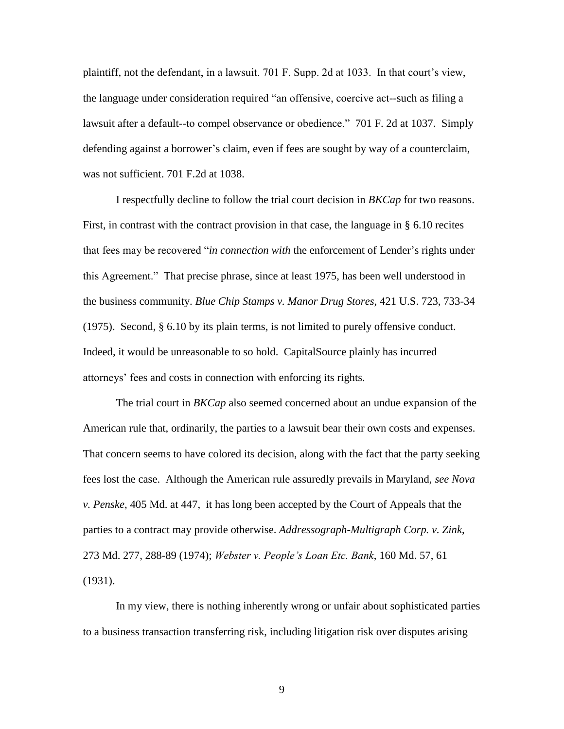plaintiff, not the defendant, in a lawsuit. 701 F. Supp. 2d at 1033. In that court"s view, the language under consideration required "an offensive, coercive act--such as filing a lawsuit after a default--to compel observance or obedience." 701 F. 2d at 1037. Simply defending against a borrower"s claim, even if fees are sought by way of a counterclaim, was not sufficient. 701 F.2d at 1038.

I respectfully decline to follow the trial court decision in *BKCap* for two reasons. First, in contrast with the contract provision in that case, the language in § 6.10 recites that fees may be recovered "*in connection with* the enforcement of Lender's rights under this Agreement." That precise phrase, since at least 1975, has been well understood in the business community. *Blue Chip Stamps v. Manor Drug Stores*, 421 U.S. 723, 733-34 (1975). Second, § 6.10 by its plain terms, is not limited to purely offensive conduct. Indeed, it would be unreasonable to so hold. CapitalSource plainly has incurred attorneys" fees and costs in connection with enforcing its rights.

The trial court in *BKCap* also seemed concerned about an undue expansion of the American rule that, ordinarily, the parties to a lawsuit bear their own costs and expenses. That concern seems to have colored its decision, along with the fact that the party seeking fees lost the case. Although the American rule assuredly prevails in Maryland, *see Nova v. Penske*, 405 Md. at 447, it has long been accepted by the Court of Appeals that the parties to a contract may provide otherwise. *Addressograph-Multigraph Corp. v. Zink*, 273 Md. 277, 288-89 (1974); *Webster v. People's Loan Etc. Bank*, 160 Md. 57, 61 (1931).

In my view, there is nothing inherently wrong or unfair about sophisticated parties to a business transaction transferring risk, including litigation risk over disputes arising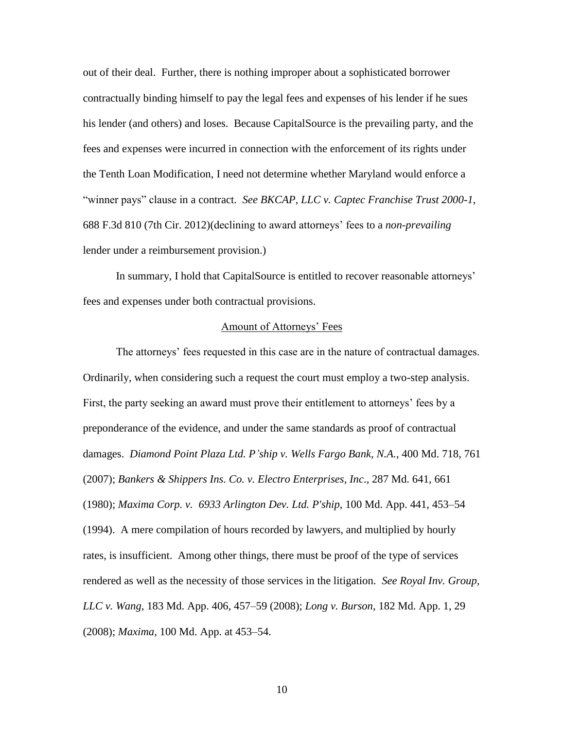out of their deal. Further, there is nothing improper about a sophisticated borrower contractually binding himself to pay the legal fees and expenses of his lender if he sues his lender (and others) and loses. Because CapitalSource is the prevailing party, and the fees and expenses were incurred in connection with the enforcement of its rights under the Tenth Loan Modification, I need not determine whether Maryland would enforce a "winner pays" clause in a contract. *See BKCAP, LLC v. Captec Franchise Trust 2000-1*, 688 F.3d 810 (7th Cir. 2012)(declining to award attorneys" fees to a *non-prevailing* lender under a reimbursement provision.)

In summary, I hold that CapitalSource is entitled to recover reasonable attorneys' fees and expenses under both contractual provisions.

### Amount of Attorneys" Fees

The attorneys" fees requested in this case are in the nature of contractual damages. Ordinarily, when considering such a request the court must employ a two-step analysis. First, the party seeking an award must prove their entitlement to attorneys' fees by a preponderance of the evidence, and under the same standards as proof of contractual damages. *Diamond Point Plaza Ltd. P'ship v. Wells Fargo Bank, N.A.*, 400 Md. 718, 761 (2007); *Bankers & Shippers Ins. Co. v. Electro Enterprises, Inc*., 287 Md. 641, 661 (1980); *Maxima Corp. v. 6933 Arlington Dev. Ltd. P'ship*, 100 Md. App. 441, 453–54 (1994). A mere compilation of hours recorded by lawyers, and multiplied by hourly rates, is insufficient. Among other things, there must be proof of the type of services rendered as well as the necessity of those services in the litigation. *See Royal Inv. Group, LLC v. Wang*, 183 Md. App. 406, 457–59 (2008); *Long v. Burson*, 182 Md. App. 1, 29 (2008); *Maxima*, 100 Md. App. at 453–54.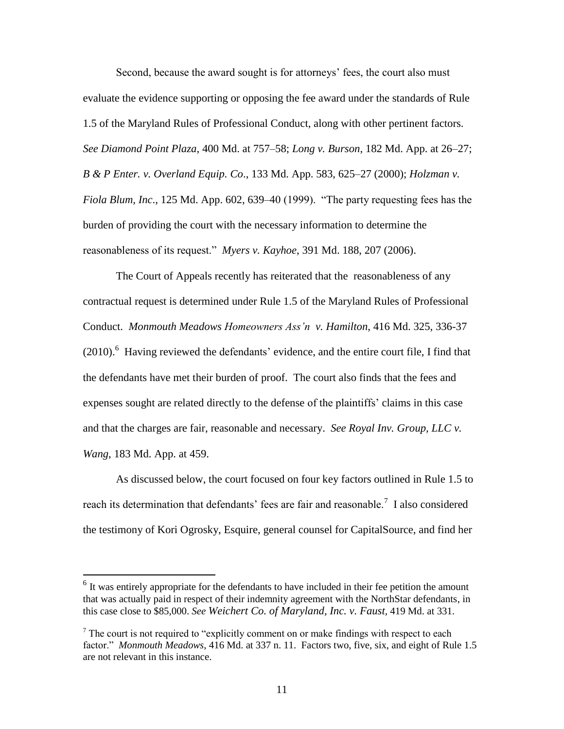Second, because the award sought is for attorneys' fees, the court also must evaluate the evidence supporting or opposing the fee award under the standards of Rule 1.5 of the Maryland Rules of Professional Conduct, along with other pertinent factors. *See Diamond Point Plaza*, 400 Md. at 757–58; *Long v. Burson*, 182 Md. App. at 26–27; *B & P Enter. v. Overland Equip. Co*., 133 Md. App. 583, 625–27 (2000); *Holzman v. Fiola Blum, Inc*., 125 Md. App. 602, 639–40 (1999). "The party requesting fees has the burden of providing the court with the necessary information to determine the reasonableness of its request." *Myers v. Kayhoe*, 391 Md. 188, 207 (2006).

The Court of Appeals recently has reiterated that the reasonableness of any contractual request is determined under Rule 1.5 of the Maryland Rules of Professional Conduct. *Monmouth Meadows Homeowners Ass'n v. Hamilton*, 416 Md. 325, 336-37  $(2010)$ .<sup>6</sup> Having reviewed the defendants' evidence, and the entire court file, I find that the defendants have met their burden of proof. The court also finds that the fees and expenses sought are related directly to the defense of the plaintiffs" claims in this case and that the charges are fair, reasonable and necessary. *See Royal Inv. Group, LLC v. Wang*, 183 Md. App. at 459.

As discussed below, the court focused on four key factors outlined in Rule 1.5 to reach its determination that defendants' fees are fair and reasonable.<sup>7</sup> I also considered the testimony of Kori Ogrosky, Esquire, general counsel for CapitalSource, and find her

 $<sup>6</sup>$  It was entirely appropriate for the defendants to have included in their fee petition the amount</sup> that was actually paid in respect of their indemnity agreement with the NorthStar defendants, in this case close to \$85,000. *See Weichert Co. of Maryland, Inc. v. Faust*, 419 Md. at 331.

 $<sup>7</sup>$  The court is not required to "explicitly comment on or make findings with respect to each</sup> factor." *Monmouth Meadows*, 416 Md. at 337 n. 11. Factors two, five, six, and eight of Rule 1.5 are not relevant in this instance.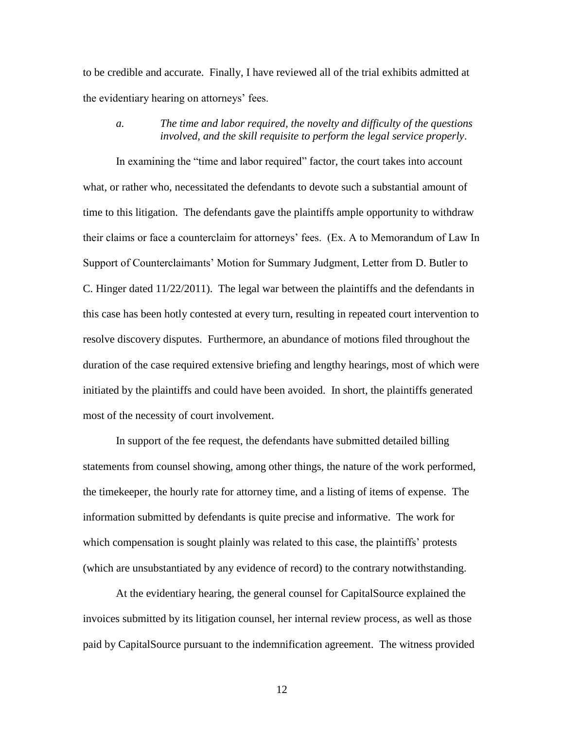to be credible and accurate. Finally, I have reviewed all of the trial exhibits admitted at the evidentiary hearing on attorneys' fees.

## *a. The time and labor required, the novelty and difficulty of the questions involved, and the skill requisite to perform the legal service properly*.

In examining the "time and labor required" factor, the court takes into account what, or rather who, necessitated the defendants to devote such a substantial amount of time to this litigation. The defendants gave the plaintiffs ample opportunity to withdraw their claims or face a counterclaim for attorneys' fees. (Ex. A to Memorandum of Law In Support of Counterclaimants" Motion for Summary Judgment, Letter from D. Butler to C. Hinger dated 11/22/2011). The legal war between the plaintiffs and the defendants in this case has been hotly contested at every turn, resulting in repeated court intervention to resolve discovery disputes. Furthermore, an abundance of motions filed throughout the duration of the case required extensive briefing and lengthy hearings, most of which were initiated by the plaintiffs and could have been avoided. In short, the plaintiffs generated most of the necessity of court involvement.

In support of the fee request, the defendants have submitted detailed billing statements from counsel showing, among other things, the nature of the work performed, the timekeeper, the hourly rate for attorney time, and a listing of items of expense. The information submitted by defendants is quite precise and informative. The work for which compensation is sought plainly was related to this case, the plaintiffs' protests (which are unsubstantiated by any evidence of record) to the contrary notwithstanding.

At the evidentiary hearing, the general counsel for CapitalSource explained the invoices submitted by its litigation counsel, her internal review process, as well as those paid by CapitalSource pursuant to the indemnification agreement. The witness provided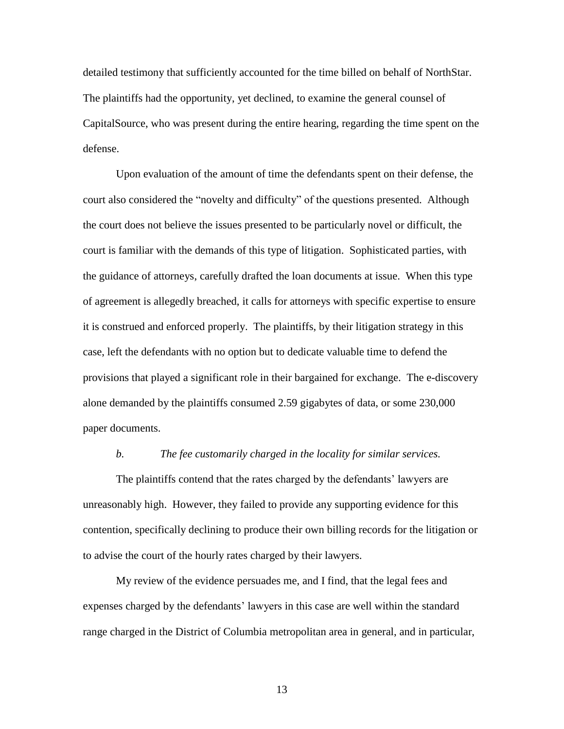detailed testimony that sufficiently accounted for the time billed on behalf of NorthStar. The plaintiffs had the opportunity, yet declined, to examine the general counsel of CapitalSource, who was present during the entire hearing, regarding the time spent on the defense.

Upon evaluation of the amount of time the defendants spent on their defense, the court also considered the "novelty and difficulty" of the questions presented. Although the court does not believe the issues presented to be particularly novel or difficult, the court is familiar with the demands of this type of litigation. Sophisticated parties, with the guidance of attorneys, carefully drafted the loan documents at issue. When this type of agreement is allegedly breached, it calls for attorneys with specific expertise to ensure it is construed and enforced properly. The plaintiffs, by their litigation strategy in this case, left the defendants with no option but to dedicate valuable time to defend the provisions that played a significant role in their bargained for exchange. The e-discovery alone demanded by the plaintiffs consumed 2.59 gigabytes of data, or some 230,000 paper documents.

#### *b. The fee customarily charged in the locality for similar services.*

The plaintiffs contend that the rates charged by the defendants' lawyers are unreasonably high. However, they failed to provide any supporting evidence for this contention, specifically declining to produce their own billing records for the litigation or to advise the court of the hourly rates charged by their lawyers.

My review of the evidence persuades me, and I find, that the legal fees and expenses charged by the defendants" lawyers in this case are well within the standard range charged in the District of Columbia metropolitan area in general, and in particular,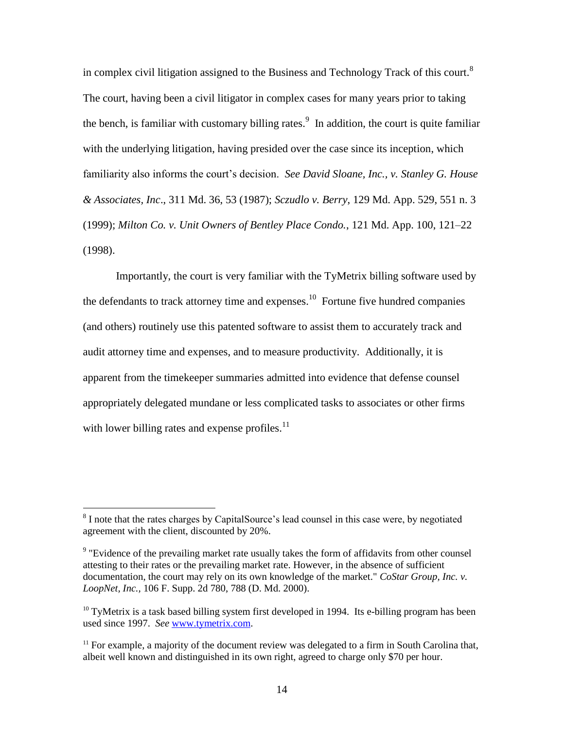in complex civil litigation assigned to the Business and Technology Track of this court. $8$ The court, having been a civil litigator in complex cases for many years prior to taking the bench, is familiar with customary billing rates.<sup>9</sup> In addition, the court is quite familiar with the underlying litigation, having presided over the case since its inception, which familiarity also informs the court's decision. *See David Sloane, Inc., v. Stanley G. House & Associates, Inc*., 311 Md. 36, 53 (1987); *Sczudlo v. Berry*, 129 Md. App. 529, 551 n. 3 (1999); *Milton Co. v. Unit Owners of Bentley Place Condo.*, 121 Md. App. 100, 121–22 (1998).

Importantly, the court is very familiar with the TyMetrix billing software used by the defendants to track attorney time and expenses.<sup>10</sup> Fortune five hundred companies (and others) routinely use this patented software to assist them to accurately track and audit attorney time and expenses, and to measure productivity. Additionally, it is apparent from the timekeeper summaries admitted into evidence that defense counsel appropriately delegated mundane or less complicated tasks to associates or other firms with lower billing rates and expense profiles.<sup>11</sup>

<sup>&</sup>lt;sup>8</sup> I note that the rates charges by CapitalSource's lead counsel in this case were, by negotiated agreement with the client, discounted by 20%.

<sup>&</sup>lt;sup>9</sup> "Evidence of the prevailing market rate usually takes the form of affidavits from other counsel attesting to their rates or the prevailing market rate. However, in the absence of sufficient documentation, the court may rely on its own knowledge of the market." *[CoStar Group, Inc. v.](http://www.lexis.com/research/buttonTFLink?_m=fc85844676efdf67f594bed290601a01&_xfercite=%3ccite%20cc%3d%22USA%22%3e%3c%21%5bCDATA%5b2011%20U.S.%20Dist.%20LEXIS%20147032%5d%5d%3e%3c%2fcite%3e&_butType=3&_butStat=2&_butNum=66&_butInline=1&_butinfo=%3ccite%20cc%3d%22USA%22%3e%3c%21%5bCDATA%5b106%20F.%20Supp.%202d%20780%2c%20788%5d%5d%3e%3c%2fcite%3e&_fmtstr=FULL&docnum=1&_startdoc=1&wchp=dGLbVzB-zSkAb&_md5=0e0c768593edb3cdaadaf1fc25e37c1b)  LoopNet, Inc.,* [106 F. Supp. 2d 780, 788 \(D. Md. 2000\).](http://www.lexis.com/research/buttonTFLink?_m=fc85844676efdf67f594bed290601a01&_xfercite=%3ccite%20cc%3d%22USA%22%3e%3c%21%5bCDATA%5b2011%20U.S.%20Dist.%20LEXIS%20147032%5d%5d%3e%3c%2fcite%3e&_butType=3&_butStat=2&_butNum=66&_butInline=1&_butinfo=%3ccite%20cc%3d%22USA%22%3e%3c%21%5bCDATA%5b106%20F.%20Supp.%202d%20780%2c%20788%5d%5d%3e%3c%2fcite%3e&_fmtstr=FULL&docnum=1&_startdoc=1&wchp=dGLbVzB-zSkAb&_md5=0e0c768593edb3cdaadaf1fc25e37c1b)

 $10$  TyMetrix is a task based billing system first developed in 1994. Its e-billing program has been used since 1997. *See* [www.tymetrix.com.](http://www.tymetix.com/)

 $11$  For example, a majority of the document review was delegated to a firm in South Carolina that, albeit well known and distinguished in its own right, agreed to charge only \$70 per hour.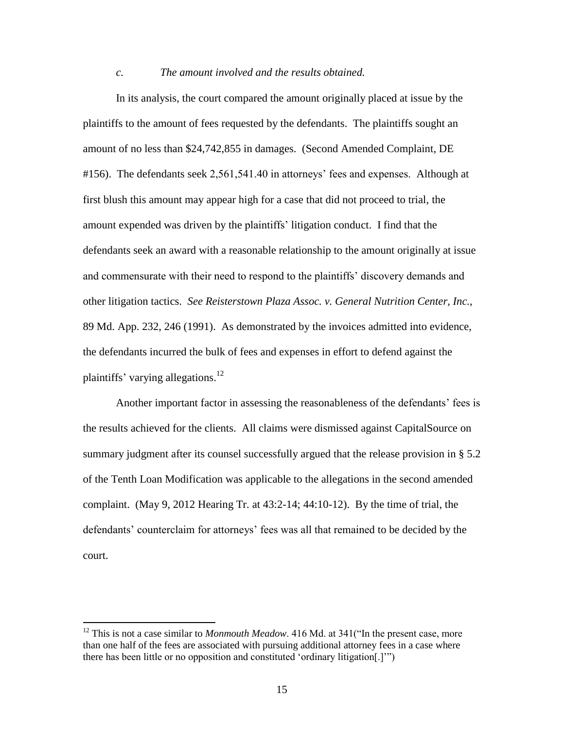#### *c. The amount involved and the results obtained.*

In its analysis, the court compared the amount originally placed at issue by the plaintiffs to the amount of fees requested by the defendants. The plaintiffs sought an amount of no less than \$24,742,855 in damages. (Second Amended Complaint, DE #156). The defendants seek 2,561,541.40 in attorneys' fees and expenses. Although at first blush this amount may appear high for a case that did not proceed to trial, the amount expended was driven by the plaintiffs" litigation conduct. I find that the defendants seek an award with a reasonable relationship to the amount originally at issue and commensurate with their need to respond to the plaintiffs" discovery demands and other litigation tactics. *See Reisterstown Plaza Assoc. v. General Nutrition Center, Inc.,*  89 Md. App. 232, 246 (1991). As demonstrated by the invoices admitted into evidence, the defendants incurred the bulk of fees and expenses in effort to defend against the plaintiffs' varying allegations.<sup>12</sup>

Another important factor in assessing the reasonableness of the defendants" fees is the results achieved for the clients. All claims were dismissed against CapitalSource on summary judgment after its counsel successfully argued that the release provision in § 5.2 of the Tenth Loan Modification was applicable to the allegations in the second amended complaint. (May 9, 2012 Hearing Tr. at 43:2-14; 44:10-12). By the time of trial, the defendants' counterclaim for attorneys' fees was all that remained to be decided by the court.

<sup>&</sup>lt;sup>12</sup> This is not a case similar to *Monmouth Meadow*. 416 Md. at 341("In the present case, more than one half of the fees are associated with pursuing additional attorney fees in a case where there has been little or no opposition and constituted "ordinary litigation[.]"")